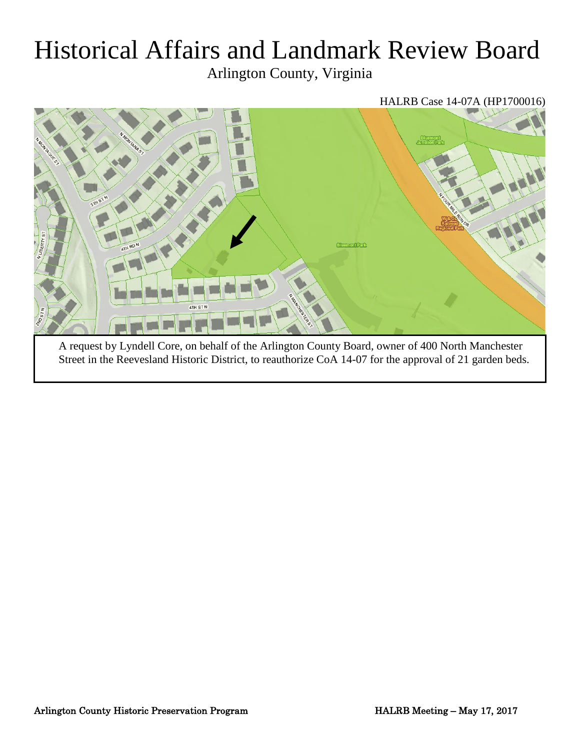# Historical Affairs and Landmark Review Board

Arlington County, Virginia



A request by Lyndell Core, on behalf of the Arlington County Board, owner of 400 North Manchester Street in the Reevesland Historic District, to reauthorize CoA 14-07 for the approval of 21 garden beds.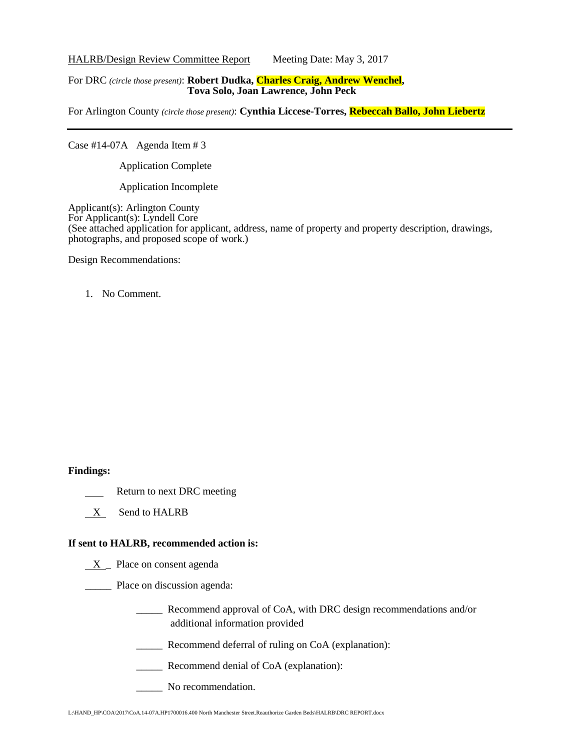HALRB/Design Review Committee Report Meeting Date: May 3, 2017

#### For DRC *(circle those present)*: **Robert Dudka, Charles Craig, Andrew Wenchel, Tova Solo, Joan Lawrence, John Peck**

For Arlington County *(circle those present)*: **Cynthia Liccese-Torres, Rebeccah Ballo, John Liebertz**

Case #14-07A Agenda Item # 3

Application Complete

Application Incomplete

Applicant(s): Arlington County For Applicant(s): Lyndell Core (See attached application for applicant, address, name of property and property description, drawings, photographs, and proposed scope of work.)

Design Recommendations:

#### 1. No Comment.

#### **Findings:**

- Return to next DRC meeting
- X Send to HALRB

#### **If sent to HALRB, recommended action is:**

 $X$  Place on consent agenda

\_\_\_\_\_ Place on discussion agenda:

- \_\_\_\_\_ Recommend approval of CoA, with DRC design recommendations and/or additional information provided
- \_\_\_\_\_ Recommend deferral of ruling on CoA (explanation):
- \_\_\_\_\_ Recommend denial of CoA (explanation):
- \_\_\_\_\_ No recommendation.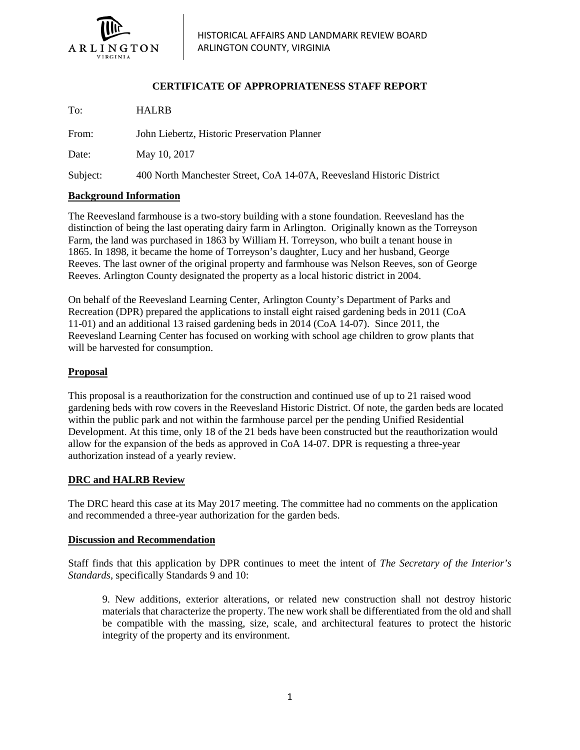

### **CERTIFICATE OF APPROPRIATENESS STAFF REPORT**

To: HALRB From: John Liebertz, Historic Preservation Planner Date: May 10, 2017 Subject: 400 North Manchester Street, CoA 14-07A, Reevesland Historic District

#### **Background Information**

The Reevesland farmhouse is a two-story building with a stone foundation. Reevesland has the distinction of being the last operating dairy farm in Arlington. Originally known as the Torreyson Farm, the land was purchased in 1863 by William H. Torreyson, who built a tenant house in 1865. In 1898, it became the home of Torreyson's daughter, Lucy and her husband, George Reeves. The last owner of the original property and farmhouse was Nelson Reeves, son of George Reeves. Arlington County designated the property as a local historic district in 2004.

On behalf of the Reevesland Learning Center, Arlington County's Department of Parks and Recreation (DPR) prepared the applications to install eight raised gardening beds in 2011 (CoA 11-01) and an additional 13 raised gardening beds in 2014 (CoA 14-07). Since 2011, the Reevesland Learning Center has focused on working with school age children to grow plants that will be harvested for consumption.

#### **Proposal**

This proposal is a reauthorization for the construction and continued use of up to 21 raised wood gardening beds with row covers in the Reevesland Historic District. Of note, the garden beds are located within the public park and not within the farmhouse parcel per the pending Unified Residential Development. At this time, only 18 of the 21 beds have been constructed but the reauthorization would allow for the expansion of the beds as approved in CoA 14-07. DPR is requesting a three-year authorization instead of a yearly review.

#### **DRC and HALRB Review**

The DRC heard this case at its May 2017 meeting. The committee had no comments on the application and recommended a three-year authorization for the garden beds.

#### **Discussion and Recommendation**

Staff finds that this application by DPR continues to meet the intent of *The Secretary of the Interior's Standards*, specifically Standards 9 and 10:

9. New additions, exterior alterations, or related new construction shall not destroy historic materials that characterize the property. The new work shall be differentiated from the old and shall be compatible with the massing, size, scale, and architectural features to protect the historic integrity of the property and its environment.